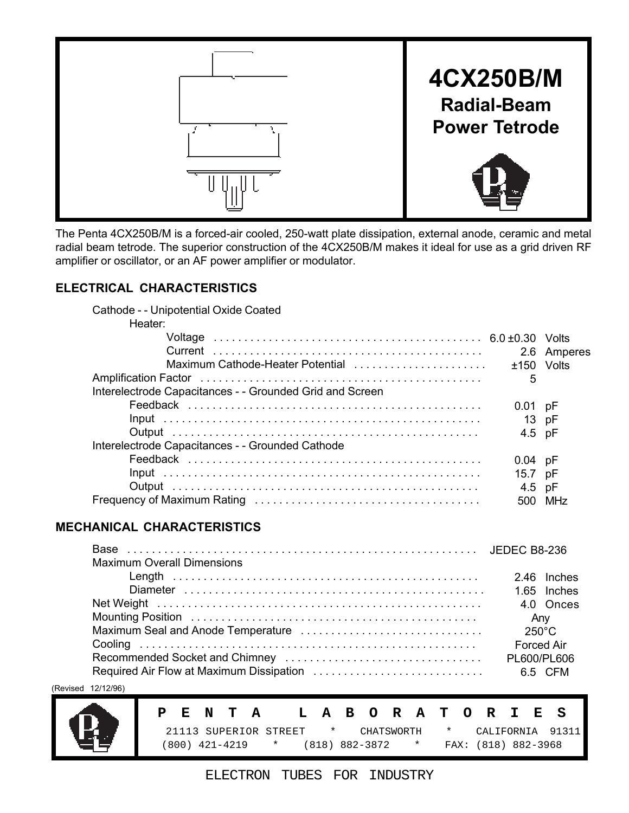

The Penta 4CX250B/M is a forced-air cooled, 250-watt plate dissipation, external anode, ceramic and metal radial beam tetrode. The superior construction of the 4CX250B/M makes it ideal for use as a grid driven RF amplifier or oscillator, or an AF power amplifier or modulator.

# **ELECTRICAL CHARACTERISTICS**

| Cathode - - Unipotential Oxide Coated                    |           |                 |
|----------------------------------------------------------|-----------|-----------------|
| Heater:                                                  |           |                 |
|                                                          |           |                 |
|                                                          |           | 2.6 Amperes     |
|                                                          |           |                 |
|                                                          | 5         |                 |
| Interelectrode Capacitances - - Grounded Grid and Screen |           |                 |
|                                                          | $0.01$ pF |                 |
|                                                          | 13 pF     |                 |
|                                                          | 4.5 pF    |                 |
| Interelectrode Capacitances - - Grounded Cathode         |           |                 |
|                                                          | $0.04$ pF |                 |
|                                                          | 15.7 pF   |                 |
|                                                          | 4.5 pF    |                 |
|                                                          |           | MH <sub>7</sub> |
|                                                          |           |                 |

# **MECHANICAL CHARACTERISTICS**

| <b>Maximum Overall Dimensions</b> |                   |
|-----------------------------------|-------------------|
|                                   | 2.46 Inches       |
|                                   |                   |
|                                   | 4.0 Onces         |
|                                   | Any               |
|                                   | $250^{\circ}$ C   |
|                                   | <b>Forced Air</b> |
|                                   |                   |
|                                   |                   |

(Revised 12/12/96)



|  |  | PENTA – |                  |  |                  |  |  | LABORATORIES        |  |                                                       |
|--|--|---------|------------------|--|------------------|--|--|---------------------|--|-------------------------------------------------------|
|  |  |         |                  |  |                  |  |  |                     |  | 21113 SUPERIOR STREET * CHATSWORTH * CALIFORNIA 91311 |
|  |  |         | (800) 421-4219 * |  | (818) 882-3872 * |  |  | FAX: (818) 882-3968 |  |                                                       |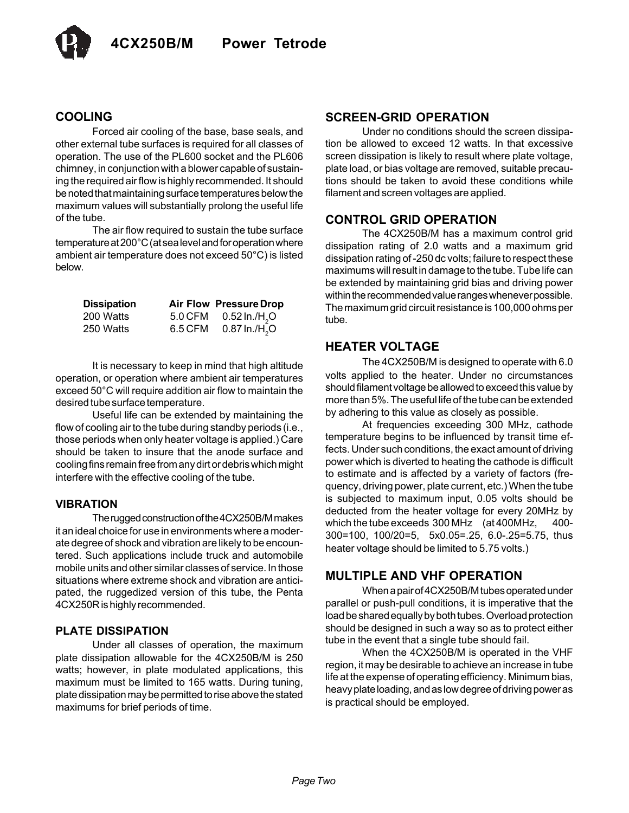

#### **COOLING**

Forced air cooling of the base, base seals, and other external tube surfaces is required for all classes of operation. The use of the PL600 socket and the PL606 chimney, in conjunction with a blower capable of sustaining the required air flow is highly recommended. It should be noted that maintaining surface temperatures below the maximum values will substantially prolong the useful life of the tube.

The air flow required to sustain the tube surface temperature at 200°C (at sea level and for operation where ambient air temperature does not exceed 50°C) is listed below.

| <b>Dissipation</b> |         | <b>Air Flow Pressure Drop</b> |
|--------------------|---------|-------------------------------|
| 200 Watts          | 5.0 CFM | $0.52$ ln./H <sub>2</sub> O   |
| 250 Watts          | 6.5 CFM | $0.87$ ln./H <sub>2</sub> O   |

It is necessary to keep in mind that high altitude operation, or operation where ambient air temperatures exceed 50°C will require addition air flow to maintain the desired tube surface temperature.

Useful life can be extended by maintaining the flow of cooling air to the tube during standby periods (i.e., those periods when only heater voltage is applied.) Care should be taken to insure that the anode surface and cooling fins remain free from any dirt or debris which might interfere with the effective cooling of the tube.

#### **VIBRATION**

The rugged construction of the 4CX250B/M makes it an ideal choice for use in environments where a moderate degree of shock and vibration are likely to be encountered. Such applications include truck and automobile mobile units and other similar classes of service. In those situations where extreme shock and vibration are anticipated, the ruggedized version of this tube, the Penta 4CX250R is highly recommended.

#### **PLATE DISSIPATION**

Under all classes of operation, the maximum plate dissipation allowable for the 4CX250B/M is 250 watts; however, in plate modulated applications, this maximum must be limited to 165 watts. During tuning, plate dissipation may be permitted to rise above the stated maximums for brief periods of time.

#### **SCREEN-GRID OPERATION**

Under no conditions should the screen dissipation be allowed to exceed 12 watts. In that excessive screen dissipation is likely to result where plate voltage, plate load, or bias voltage are removed, suitable precautions should be taken to avoid these conditions while filament and screen voltages are applied.

#### **CONTROL GRID OPERATION**

The 4CX250B/M has a maximum control grid dissipation rating of 2.0 watts and a maximum grid dissipation rating of -250 dc volts; failure to respect these maximums will result in damage to the tube. Tube life can be extended by maintaining grid bias and driving power within the recommended value ranges whenever possible. The maximum grid circuit resistance is 100,000 ohms per tube.

#### **HEATER VOLTAGE**

The 4CX250B/M is designed to operate with 6.0 volts applied to the heater. Under no circumstances should filament voltage be allowed to exceed this value by more than 5%. The useful life of the tube can be extended by adhering to this value as closely as possible.

At frequencies exceeding 300 MHz, cathode temperature begins to be influenced by transit time effects. Under such conditions, the exact amount of driving power which is diverted to heating the cathode is difficult to estimate and is affected by a variety of factors (frequency, driving power, plate current, etc.) When the tube is subjected to maximum input, 0.05 volts should be deducted from the heater voltage for every 20MHz by which the tube exceeds 300 MHz (at 400MHz, 400- 300=100, 100/20=5, 5x0.05=.25, 6.0-.25=5.75, thus heater voltage should be limited to 5.75 volts.)

### **MULTIPLE AND VHF OPERATION**

When a pair of 4CX250B/M tubes operated under parallel or push-pull conditions, it is imperative that the load be shared equally by both tubes. Overload protection should be designed in such a way so as to protect either tube in the event that a single tube should fail.

When the 4CX250B/M is operated in the VHF region, it may be desirable to achieve an increase in tube life at the expense of operating efficiency. Minimum bias, heavy plate loading, and as low degree of driving power as is practical should be employed.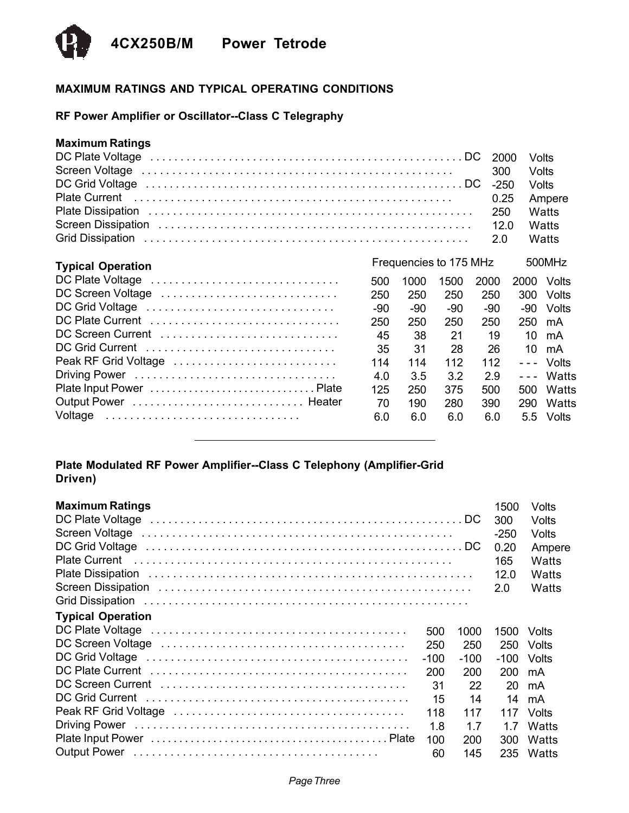

# **MAXIMUM RATINGS AND TYPICAL OPERATING CONDITIONS**

# **RF Power Amplifier or Oscillator--Class C Telegraphy**

# **Maximum Ratings**

|                          |     |                        |      | 2000   | Volts                |        |
|--------------------------|-----|------------------------|------|--------|----------------------|--------|
|                          |     |                        |      | 300    |                      | Volts  |
|                          |     |                        |      | $-250$ |                      | Volts  |
|                          |     |                        |      | 0.25   |                      | Ampere |
|                          |     |                        |      | 250    |                      | Watts  |
|                          |     |                        |      | 12.0   |                      | Watts  |
|                          |     |                        |      | 2.0    |                      | Watts  |
|                          |     |                        |      |        |                      |        |
| <b>Typical Operation</b> |     | Frequencies to 175 MHz |      |        |                      | 500MHz |
| DC Plate Voltage         | 500 | 1000                   | 1500 | 2000   | 2000                 | Volts  |
| DC Screen Voltage        | 250 | 250                    | 250  | 250    | 300                  | Volts  |
| DC Grid Voltage          | -90 | -90                    | -90  | -90    | -90                  | Volts  |
| DC Plate Current         | 250 | 250                    | 250  | 250    | 250                  | mA     |
| DC Screen Current        | 45  | 38                     | 21   | 19     | 10                   | mA     |
| DC Grid Current          | 35  | 31                     | 28   | 26     | 10                   | mA     |
| Peak RF Grid Voltage     | 114 | 114                    | 112  | 112    | $\sim$ $\sim$ $\sim$ | Volts  |
|                          | 4.0 | 3.5                    | 3.2  | 2.9    | $- - -$              | Watts  |
|                          | 125 | 250                    | 375  | 500    | 500                  | Watts  |
|                          | 70  | 190                    | 280  | 390    | 290                  | Watts  |
| Voltage                  | 6.0 | 6.0                    | 6.0  | 6.0    | 5.5                  | Volts  |
|                          |     |                        |      |        |                      |        |

### **Plate Modulated RF Power Amplifier--Class C Telephony (Amplifier-Grid Driven)**

| <b>Maximum Ratings</b><br>DC Plate Voltage (and all and all and all and all and all and all and all and all and all and all and all and DC<br>Screen Voltage (and all and all and all and all and all and all and all and all and all and all and all and a |        |        | 1500<br>300<br>-250<br>0.20<br>165<br>12.0<br>2.0 | Volts<br>Volts<br>Volts<br>Ampere<br>Watts<br>Watts<br>Watts |
|-------------------------------------------------------------------------------------------------------------------------------------------------------------------------------------------------------------------------------------------------------------|--------|--------|---------------------------------------------------|--------------------------------------------------------------|
| <b>Typical Operation</b>                                                                                                                                                                                                                                    |        |        |                                                   |                                                              |
|                                                                                                                                                                                                                                                             | 500    | 1000   | 1500.                                             | Volts                                                        |
|                                                                                                                                                                                                                                                             | 250    | 250    |                                                   | 250 Volts                                                    |
|                                                                                                                                                                                                                                                             | $-100$ | $-100$ | $-100$ Volts                                      |                                                              |
|                                                                                                                                                                                                                                                             | 200    | 200    | 200 mA                                            |                                                              |
|                                                                                                                                                                                                                                                             | -31    | 22     |                                                   | 20 mA                                                        |
|                                                                                                                                                                                                                                                             | 15     | 14     |                                                   | 14 mA                                                        |
|                                                                                                                                                                                                                                                             | 118    | 117    |                                                   | 117 Volts                                                    |
|                                                                                                                                                                                                                                                             | 1.8    | 1.7    | 1.7                                               | Watts                                                        |
|                                                                                                                                                                                                                                                             | 100    | 200    | 300                                               | Watts                                                        |
|                                                                                                                                                                                                                                                             | 60     | 145    |                                                   | 235 Watts                                                    |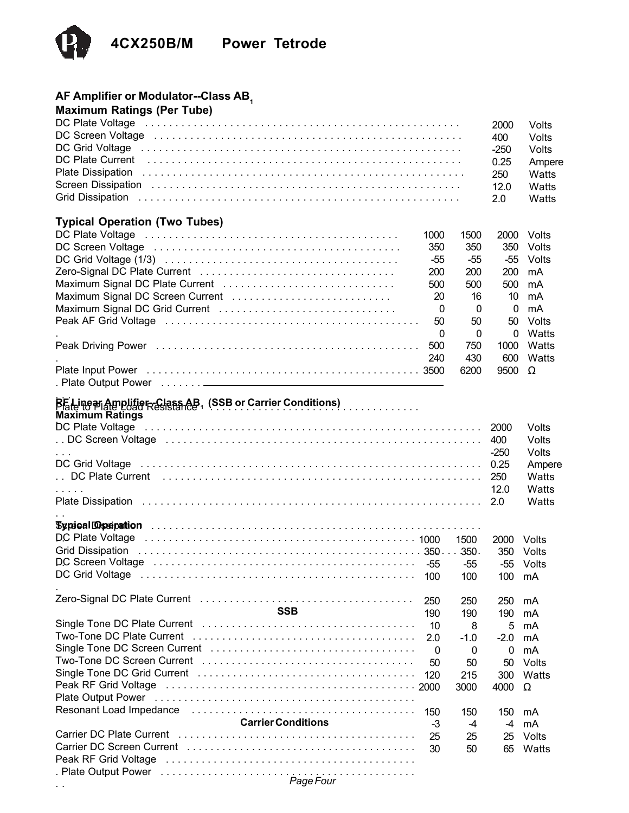

# **AF Amplifier or Modulator--Class AB1**

| <b>Maximum Ratings (Per Tube)</b>                                                                                                                                                                                              |
|--------------------------------------------------------------------------------------------------------------------------------------------------------------------------------------------------------------------------------|
|                                                                                                                                                                                                                                |
| DC Plate Voltage (and a contract of the contract of the voltage of the contract of the contract of the voltage                                                                                                                 |
| DC Screen Voltage (and a contract of the contract of the contract of the contract of the contract of the contract of the contract of the contract of the contract of the contract of the contract of the contract of the contr |
| DC Grid Voltage (and a series are a series and series are a series and series are a series and series are a series of the Series School and Series and Series and Series and Series and Series and Series Series and Series an |
| DC Plate Current (all contains and contained all contains and contained all contains and contains a problem of                                                                                                                 |
|                                                                                                                                                                                                                                |
| Screen Dissipation (and all and all and all and all and all and all and all and all and all and all and all and all and all and all and all and all and all and all and all and all and all and all and all and all and all an |
|                                                                                                                                                                                                                                |

#### **Typical Operation (Two Tubes)**

| 1000 | 1500     |               | 2000 Volts |
|------|----------|---------------|------------|
| 350  | 350      |               | 350 Volts  |
| -55  | -55      |               | -55 Volts  |
| 200  | 200      | 200 mA        |            |
| 500  | 500      | 500 mA        |            |
| 20   | 16       |               | 10 mA      |
| 0    | $\Omega$ | 0             | mA         |
| 50   | 50       |               | 50 Volts   |
| 0    | $\Omega$ | $\Omega$      | Watts      |
| 500  | 750      | 1000          | Watts      |
| 240  | 430      |               | 600 Watts  |
|      | 6200     | $9500 \Omega$ |            |
|      |          |               |            |

2000 Volts 400 Volts -250 Volts 0.25 Ampere 250 Watts 12.0 Watts 2.0 Watts

#### $\overline{a}$ . Plate to Plate Load Resistance . . . . . . . . . . . . . . . . . . . . . . . . . . . . . . . . . . . **RF Linear Amplifier--Class AB1 (SSB or Carrier Conditions)**

**Maximum Ratings**

| <b>MAAIIIUIII NAUIIUS</b> |      |              |
|---------------------------|------|--------------|
|                           |      |              |
|                           |      |              |
| $\sim$ $\sim$ $\sim$      | -250 | <b>Volts</b> |
|                           |      |              |
|                           |      |              |
| <b>Service State</b>      | 12.0 | Watts        |
|                           |      |              |

# . .

. .

|                                                                                                  |      | 1500     | 2000         | Volts |
|--------------------------------------------------------------------------------------------------|------|----------|--------------|-------|
|                                                                                                  |      |          | 350          | Volts |
|                                                                                                  |      | -55      | -55          | Volts |
| DC Grid Voltage entertainment contracts of the contracts of the contracts of the CC Grid Voltage | 100  | 100      | 100          | mA    |
|                                                                                                  |      |          |              |       |
|                                                                                                  | 250  | 250      | 250          | mA    |
| <b>SSB</b>                                                                                       | 190  | 190      | 190          | mA    |
|                                                                                                  | 10   | 8        | 5            | mA    |
|                                                                                                  | 2.0  | $-1.0$   | $-2.0$       | mA    |
|                                                                                                  | - 0  | $\Omega$ | $\mathbf{0}$ | mA    |
|                                                                                                  | 50   | 50       | 50           | Volts |
|                                                                                                  | 120  | 215      | 300          | Watts |
|                                                                                                  |      | 3000     | 4000         | Ω     |
|                                                                                                  |      |          |              |       |
|                                                                                                  | 150  | 150      | 150          | mA    |
| <b>Carrier Conditions</b>                                                                        | $-3$ | $-4$     | $-4$         | mA    |
|                                                                                                  | 25   | 25       | 25           | Volts |
|                                                                                                  | 30   | 50       | 65           | Watts |
|                                                                                                  |      |          |              |       |
| . Plate Output Power $\ldots \ldots \ldots \ldots \ldots \ldots \ldots \ldots \ldots$            |      |          |              |       |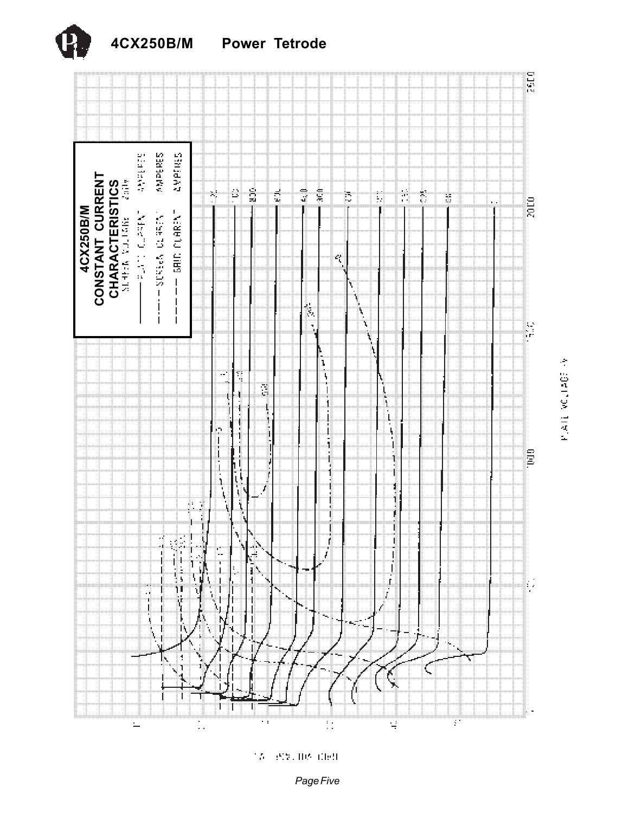

PLATE VOLTAGE PV

15 (89) 08 060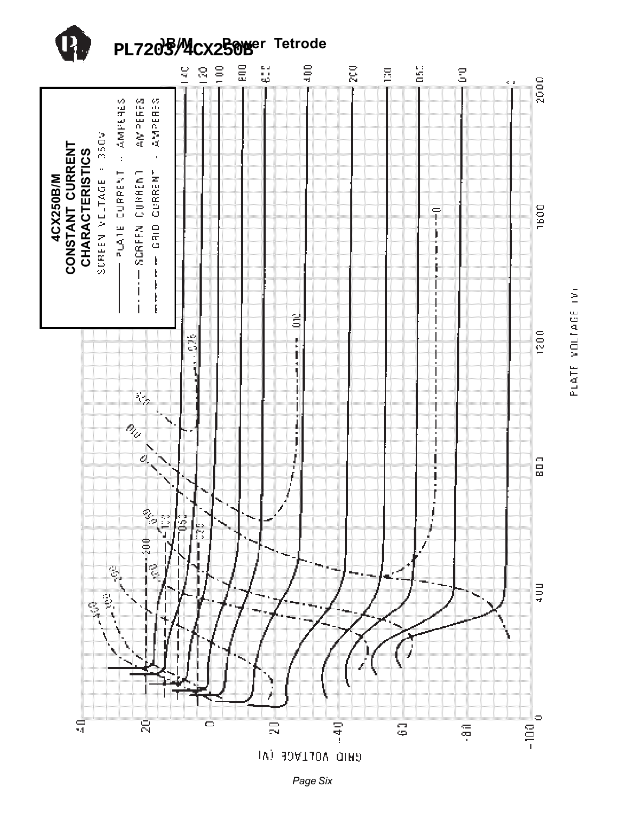



*Page Six*